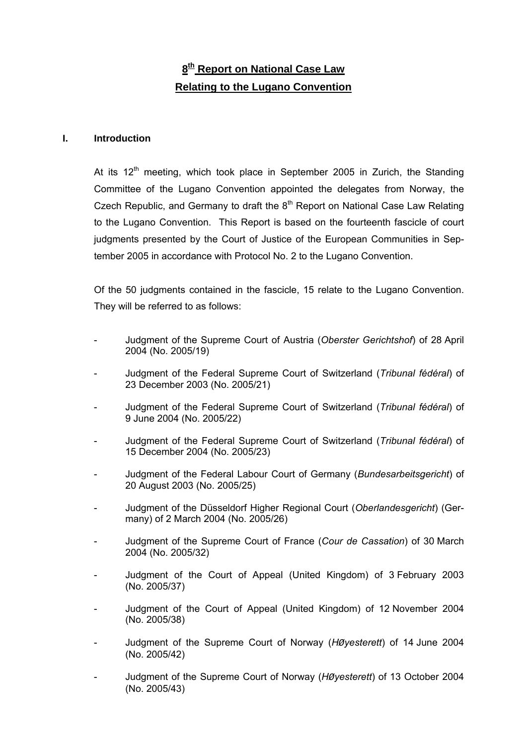# **8th Report on National Case Law Relating to the Lugano Convention**

# **I. Introduction**

At its  $12<sup>th</sup>$  meeting, which took place in September 2005 in Zurich, the Standing Committee of the Lugano Convention appointed the delegates from Norway, the Czech Republic, and Germany to draft the  $8<sup>th</sup>$  Report on National Case Law Relating to the Lugano Convention. This Report is based on the fourteenth fascicle of court judgments presented by the Court of Justice of the European Communities in September 2005 in accordance with Protocol No. 2 to the Lugano Convention.

Of the 50 judgments contained in the fascicle, 15 relate to the Lugano Convention. They will be referred to as follows:

- Judgment of the Supreme Court of Austria (*Oberster Gerichtshof*) of 28 April 2004 (No. 2005/19)
- Judgment of the Federal Supreme Court of Switzerland (*Tribunal fédéral*) of 23 December 2003 (No. 2005/21)
- Judgment of the Federal Supreme Court of Switzerland (*Tribunal fédéral*) of 9 June 2004 (No. 2005/22)
- Judgment of the Federal Supreme Court of Switzerland (*Tribunal fédéral*) of 15 December 2004 (No. 2005/23)
- Judgment of the Federal Labour Court of Germany (*Bundesarbeitsgericht*) of 20 August 2003 (No. 2005/25)
- Judgment of the Düsseldorf Higher Regional Court (*Oberlandesgericht*) (Germany) of 2 March 2004 (No. 2005/26)
- Judgment of the Supreme Court of France (*Cour de Cassation*) of 30 March 2004 (No. 2005/32)
- Judgment of the Court of Appeal (United Kingdom) of 3 February 2003 (No. 2005/37)
- Judgment of the Court of Appeal (United Kingdom) of 12 November 2004 (No. 2005/38)
- Judgment of the Supreme Court of Norway (*HØyesterett*) of 14 June 2004 (No. 2005/42)
- Judgment of the Supreme Court of Norway (*HØyesterett*) of 13 October 2004 (No. 2005/43)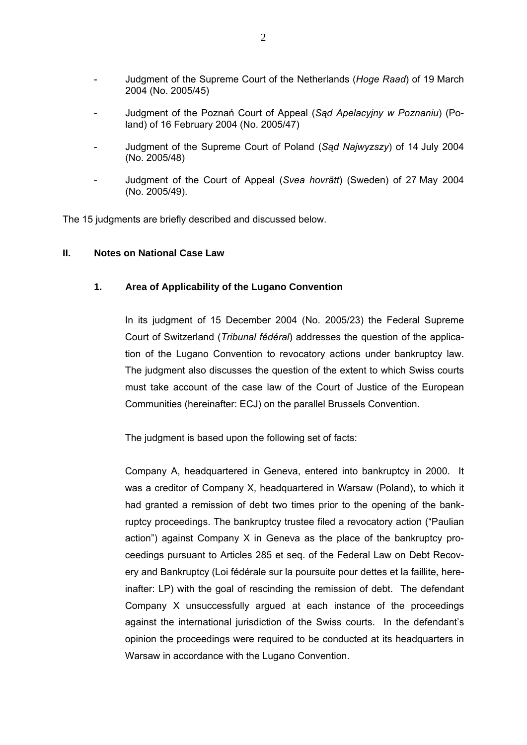- Judgment of the Supreme Court of the Netherlands (*Hoge Raad*) of 19 March 2004 (No. 2005/45)
- Judgment of the Poznań Court of Appeal (*Sąd Apelacyjny w Poznaniu*) (Poland) of 16 February 2004 (No. 2005/47)
- Judgment of the Supreme Court of Poland (*Sąd Najwyzszy*) of 14 July 2004 (No. 2005/48)
- Judgment of the Court of Appeal (*Svea hovrätt*) (Sweden) of 27 May 2004 (No. 2005/49).

The 15 judgments are briefly described and discussed below.

## **II. Notes on National Case Law**

# **1. Area of Applicability of the Lugano Convention**

In its judgment of 15 December 2004 (No. 2005/23) the Federal Supreme Court of Switzerland (*Tribunal fédéral*) addresses the question of the application of the Lugano Convention to revocatory actions under bankruptcy law. The judgment also discusses the question of the extent to which Swiss courts must take account of the case law of the Court of Justice of the European Communities (hereinafter: ECJ) on the parallel Brussels Convention.

The judgment is based upon the following set of facts:

Company A, headquartered in Geneva, entered into bankruptcy in 2000. It was a creditor of Company X, headquartered in Warsaw (Poland), to which it had granted a remission of debt two times prior to the opening of the bankruptcy proceedings. The bankruptcy trustee filed a revocatory action ("Paulian action") against Company X in Geneva as the place of the bankruptcy proceedings pursuant to Articles 285 et seq. of the Federal Law on Debt Recovery and Bankruptcy (Loi fédérale sur la poursuite pour dettes et la faillite, hereinafter: LP) with the goal of rescinding the remission of debt. The defendant Company X unsuccessfully argued at each instance of the proceedings against the international jurisdiction of the Swiss courts. In the defendant's opinion the proceedings were required to be conducted at its headquarters in Warsaw in accordance with the Lugano Convention.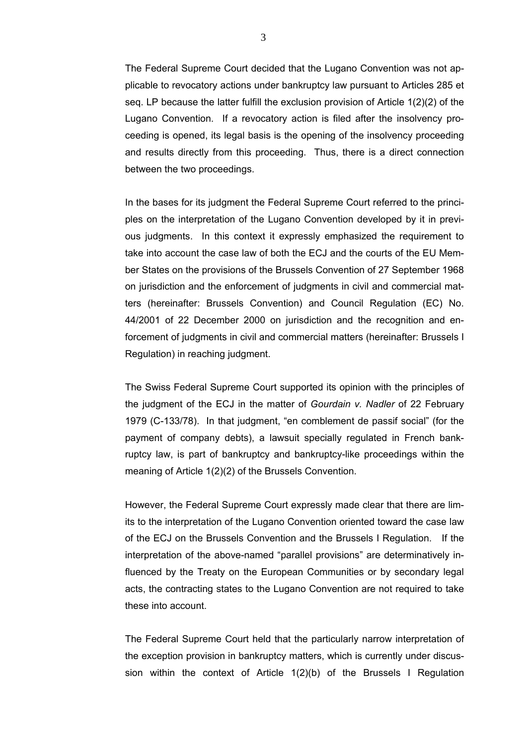The Federal Supreme Court decided that the Lugano Convention was not applicable to revocatory actions under bankruptcy law pursuant to Articles 285 et seq. LP because the latter fulfill the exclusion provision of Article 1(2)(2) of the Lugano Convention. If a revocatory action is filed after the insolvency proceeding is opened, its legal basis is the opening of the insolvency proceeding and results directly from this proceeding. Thus, there is a direct connection between the two proceedings.

In the bases for its judgment the Federal Supreme Court referred to the principles on the interpretation of the Lugano Convention developed by it in previous judgments. In this context it expressly emphasized the requirement to take into account the case law of both the ECJ and the courts of the EU Member States on the provisions of the Brussels Convention of 27 September 1968 on jurisdiction and the enforcement of judgments in civil and commercial matters (hereinafter: Brussels Convention) and Council Regulation (EC) No. 44/2001 of 22 December 2000 on jurisdiction and the recognition and enforcement of judgments in civil and commercial matters (hereinafter: Brussels I Regulation) in reaching judgment.

The Swiss Federal Supreme Court supported its opinion with the principles of the judgment of the ECJ in the matter of *Gourdain v. Nadler* of 22 February 1979 (C-133/78). In that judgment, "en comblement de passif social" (for the payment of company debts), a lawsuit specially regulated in French bankruptcy law, is part of bankruptcy and bankruptcy-like proceedings within the meaning of Article 1(2)(2) of the Brussels Convention.

However, the Federal Supreme Court expressly made clear that there are limits to the interpretation of the Lugano Convention oriented toward the case law of the ECJ on the Brussels Convention and the Brussels I Regulation. If the interpretation of the above-named "parallel provisions" are determinatively influenced by the Treaty on the European Communities or by secondary legal acts, the contracting states to the Lugano Convention are not required to take these into account.

The Federal Supreme Court held that the particularly narrow interpretation of the exception provision in bankruptcy matters, which is currently under discussion within the context of Article 1(2)(b) of the Brussels I Regulation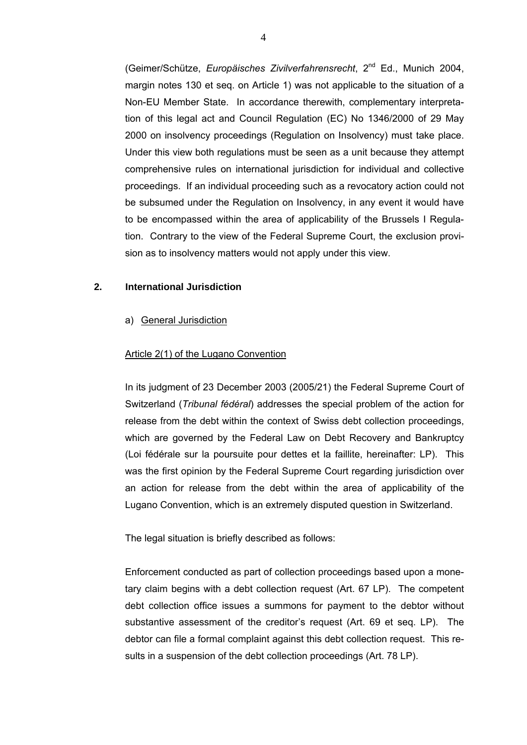(Geimer/Schütze, *Europäisches Zivilverfahrensrecht*, 2nd Ed., Munich 2004, margin notes 130 et seq. on Article 1) was not applicable to the situation of a Non-EU Member State. In accordance therewith, complementary interpretation of this legal act and Council Regulation (EC) No 1346/2000 of 29 May 2000 on insolvency proceedings (Regulation on Insolvency) must take place. Under this view both regulations must be seen as a unit because they attempt comprehensive rules on international jurisdiction for individual and collective proceedings. If an individual proceeding such as a revocatory action could not be subsumed under the Regulation on Insolvency, in any event it would have to be encompassed within the area of applicability of the Brussels I Regulation. Contrary to the view of the Federal Supreme Court, the exclusion provision as to insolvency matters would not apply under this view.

# **2. International Jurisdiction**

#### a) General Jurisdiction

## Article 2(1) of the Lugano Convention

In its judgment of 23 December 2003 (2005/21) the Federal Supreme Court of Switzerland (*Tribunal fédéral*) addresses the special problem of the action for release from the debt within the context of Swiss debt collection proceedings, which are governed by the Federal Law on Debt Recovery and Bankruptcy (Loi fédérale sur la poursuite pour dettes et la faillite, hereinafter: LP). This was the first opinion by the Federal Supreme Court regarding jurisdiction over an action for release from the debt within the area of applicability of the Lugano Convention, which is an extremely disputed question in Switzerland.

The legal situation is briefly described as follows:

Enforcement conducted as part of collection proceedings based upon a monetary claim begins with a debt collection request (Art. 67 LP). The competent debt collection office issues a summons for payment to the debtor without substantive assessment of the creditor's request (Art. 69 et seq. LP). The debtor can file a formal complaint against this debt collection request. This results in a suspension of the debt collection proceedings (Art. 78 LP).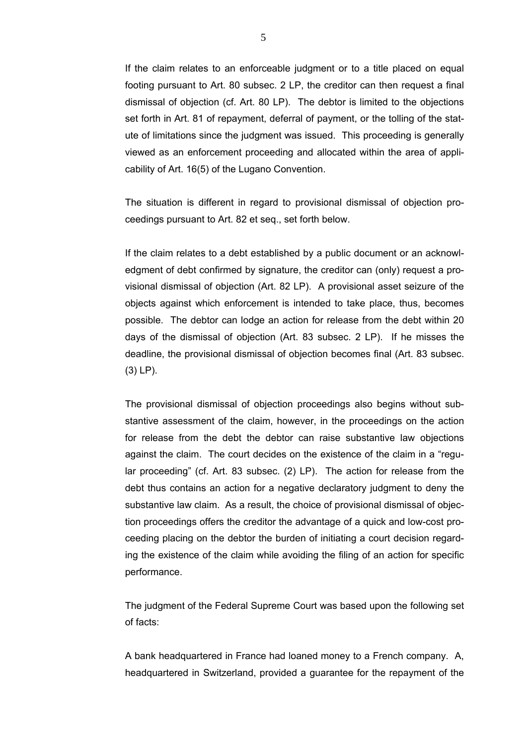If the claim relates to an enforceable judgment or to a title placed on equal footing pursuant to Art. 80 subsec. 2 LP, the creditor can then request a final dismissal of objection (cf. Art. 80 LP). The debtor is limited to the objections set forth in Art. 81 of repayment, deferral of payment, or the tolling of the statute of limitations since the judgment was issued. This proceeding is generally viewed as an enforcement proceeding and allocated within the area of applicability of Art. 16(5) of the Lugano Convention.

The situation is different in regard to provisional dismissal of objection proceedings pursuant to Art. 82 et seq., set forth below.

If the claim relates to a debt established by a public document or an acknowledgment of debt confirmed by signature, the creditor can (only) request a provisional dismissal of objection (Art. 82 LP). A provisional asset seizure of the objects against which enforcement is intended to take place, thus, becomes possible. The debtor can lodge an action for release from the debt within 20 days of the dismissal of objection (Art. 83 subsec. 2 LP). If he misses the deadline, the provisional dismissal of objection becomes final (Art. 83 subsec. (3) LP).

The provisional dismissal of objection proceedings also begins without substantive assessment of the claim, however, in the proceedings on the action for release from the debt the debtor can raise substantive law objections against the claim. The court decides on the existence of the claim in a "regular proceeding" (cf. Art. 83 subsec. (2) LP). The action for release from the debt thus contains an action for a negative declaratory judgment to deny the substantive law claim. As a result, the choice of provisional dismissal of objection proceedings offers the creditor the advantage of a quick and low-cost proceeding placing on the debtor the burden of initiating a court decision regarding the existence of the claim while avoiding the filing of an action for specific performance.

The judgment of the Federal Supreme Court was based upon the following set of facts:

A bank headquartered in France had loaned money to a French company. A, headquartered in Switzerland, provided a guarantee for the repayment of the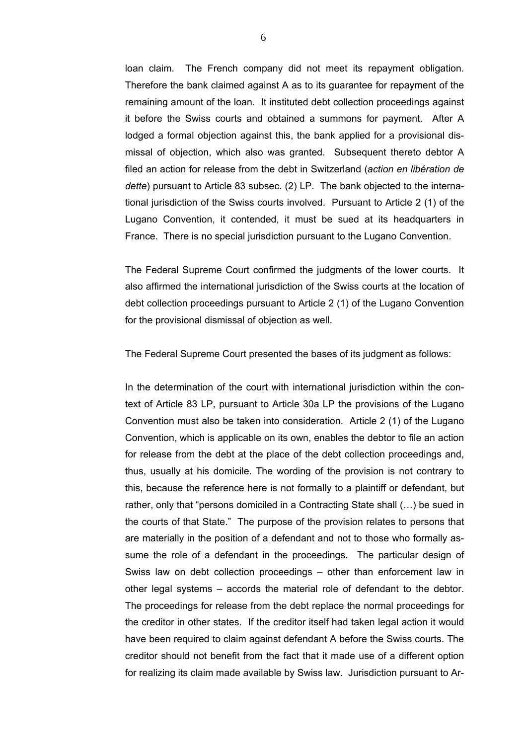loan claim. The French company did not meet its repayment obligation. Therefore the bank claimed against A as to its guarantee for repayment of the remaining amount of the loan. It instituted debt collection proceedings against it before the Swiss courts and obtained a summons for payment. After A lodged a formal objection against this, the bank applied for a provisional dismissal of objection, which also was granted. Subsequent thereto debtor A filed an action for release from the debt in Switzerland (*action en libération de dette*) pursuant to Article 83 subsec. (2) LP. The bank objected to the international jurisdiction of the Swiss courts involved. Pursuant to Article 2 (1) of the Lugano Convention, it contended, it must be sued at its headquarters in France. There is no special jurisdiction pursuant to the Lugano Convention.

The Federal Supreme Court confirmed the judgments of the lower courts. It also affirmed the international jurisdiction of the Swiss courts at the location of debt collection proceedings pursuant to Article 2 (1) of the Lugano Convention for the provisional dismissal of objection as well.

The Federal Supreme Court presented the bases of its judgment as follows:

In the determination of the court with international jurisdiction within the context of Article 83 LP, pursuant to Article 30a LP the provisions of the Lugano Convention must also be taken into consideration. Article 2 (1) of the Lugano Convention, which is applicable on its own, enables the debtor to file an action for release from the debt at the place of the debt collection proceedings and, thus, usually at his domicile. The wording of the provision is not contrary to this, because the reference here is not formally to a plaintiff or defendant, but rather, only that "persons domiciled in a Contracting State shall (…) be sued in the courts of that State." The purpose of the provision relates to persons that are materially in the position of a defendant and not to those who formally assume the role of a defendant in the proceedings. The particular design of Swiss law on debt collection proceedings – other than enforcement law in other legal systems – accords the material role of defendant to the debtor. The proceedings for release from the debt replace the normal proceedings for the creditor in other states. If the creditor itself had taken legal action it would have been required to claim against defendant A before the Swiss courts. The creditor should not benefit from the fact that it made use of a different option for realizing its claim made available by Swiss law. Jurisdiction pursuant to Ar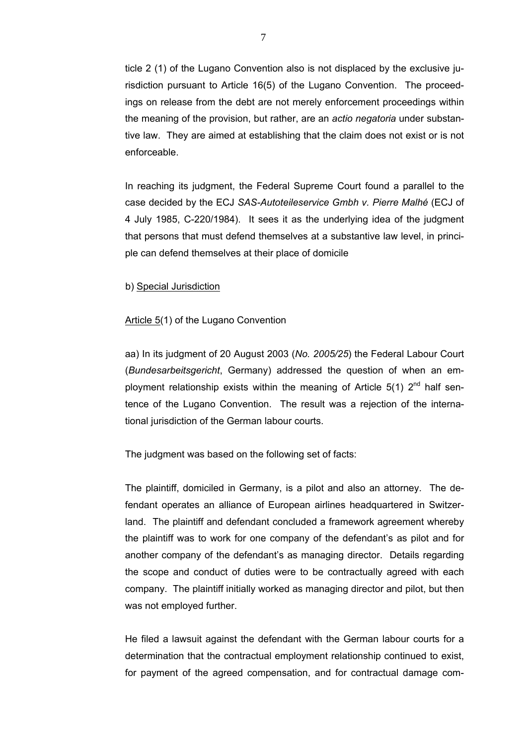ticle 2 (1) of the Lugano Convention also is not displaced by the exclusive jurisdiction pursuant to Article 16(5) of the Lugano Convention. The proceedings on release from the debt are not merely enforcement proceedings within the meaning of the provision, but rather, are an *actio negatoria* under substantive law. They are aimed at establishing that the claim does not exist or is not enforceable.

In reaching its judgment, the Federal Supreme Court found a parallel to the case decided by the ECJ *SAS-Autoteileservice Gmbh v. Pierre Malhé* (ECJ of 4 July 1985, C-220/1984). It sees it as the underlying idea of the judgment that persons that must defend themselves at a substantive law level, in principle can defend themselves at their place of domicile

# b) Special Jurisdiction

#### Article 5(1) of the Lugano Convention

aa) In its judgment of 20 August 2003 (*No. 2005/25*) the Federal Labour Court (*Bundesarbeitsgericht*, Germany) addressed the question of when an employment relationship exists within the meaning of Article  $5(1)$   $2^{nd}$  half sentence of the Lugano Convention. The result was a rejection of the international jurisdiction of the German labour courts.

The judgment was based on the following set of facts:

The plaintiff, domiciled in Germany, is a pilot and also an attorney. The defendant operates an alliance of European airlines headquartered in Switzerland. The plaintiff and defendant concluded a framework agreement whereby the plaintiff was to work for one company of the defendant's as pilot and for another company of the defendant's as managing director. Details regarding the scope and conduct of duties were to be contractually agreed with each company. The plaintiff initially worked as managing director and pilot, but then was not employed further.

He filed a lawsuit against the defendant with the German labour courts for a determination that the contractual employment relationship continued to exist, for payment of the agreed compensation, and for contractual damage com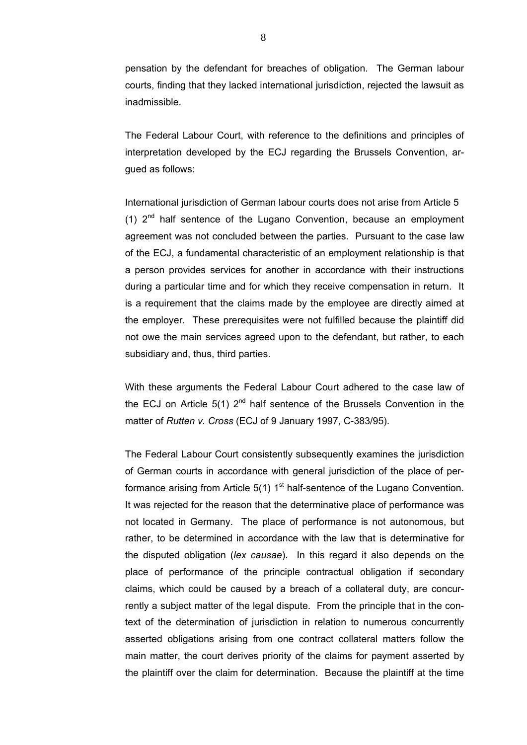pensation by the defendant for breaches of obligation. The German labour courts, finding that they lacked international jurisdiction, rejected the lawsuit as inadmissible.

The Federal Labour Court, with reference to the definitions and principles of interpretation developed by the ECJ regarding the Brussels Convention, argued as follows:

International jurisdiction of German labour courts does not arise from Article 5 (1)  $2^{nd}$  half sentence of the Lugano Convention, because an employment agreement was not concluded between the parties. Pursuant to the case law of the ECJ, a fundamental characteristic of an employment relationship is that a person provides services for another in accordance with their instructions during a particular time and for which they receive compensation in return. It is a requirement that the claims made by the employee are directly aimed at the employer. These prerequisites were not fulfilled because the plaintiff did not owe the main services agreed upon to the defendant, but rather, to each subsidiary and, thus, third parties.

With these arguments the Federal Labour Court adhered to the case law of the ECJ on Article  $5(1)$   $2^{nd}$  half sentence of the Brussels Convention in the matter of *Rutten v. Cross* (ECJ of 9 January 1997, C-383/95).

The Federal Labour Court consistently subsequently examines the jurisdiction of German courts in accordance with general jurisdiction of the place of performance arising from Article 5(1)  $1<sup>st</sup>$  half-sentence of the Lugano Convention. It was rejected for the reason that the determinative place of performance was not located in Germany. The place of performance is not autonomous, but rather, to be determined in accordance with the law that is determinative for the disputed obligation (*lex causae*). In this regard it also depends on the place of performance of the principle contractual obligation if secondary claims, which could be caused by a breach of a collateral duty, are concurrently a subject matter of the legal dispute. From the principle that in the context of the determination of jurisdiction in relation to numerous concurrently asserted obligations arising from one contract collateral matters follow the main matter, the court derives priority of the claims for payment asserted by the plaintiff over the claim for determination. Because the plaintiff at the time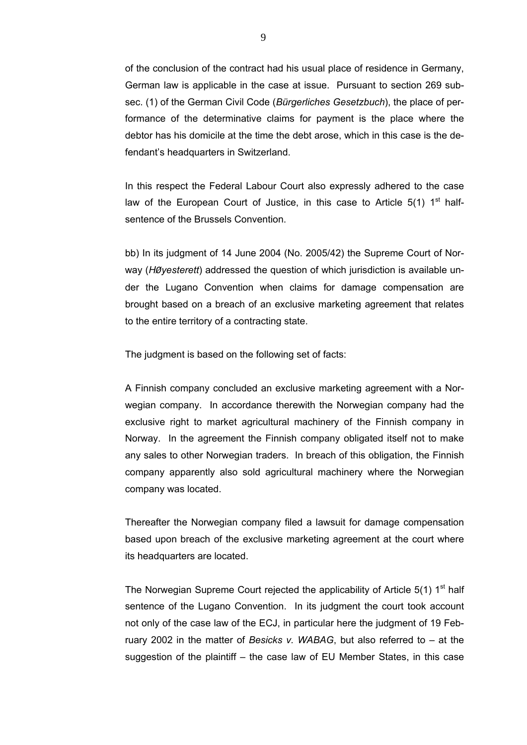of the conclusion of the contract had his usual place of residence in Germany, German law is applicable in the case at issue. Pursuant to section 269 subsec. (1) of the German Civil Code (*Bürgerliches Gesetzbuch*), the place of performance of the determinative claims for payment is the place where the debtor has his domicile at the time the debt arose, which in this case is the defendant's headquarters in Switzerland.

In this respect the Federal Labour Court also expressly adhered to the case law of the European Court of Justice, in this case to Article  $5(1)$  1<sup>st</sup> halfsentence of the Brussels Convention.

bb) In its judgment of 14 June 2004 (No. 2005/42) the Supreme Court of Norway (*HØyesterett*) addressed the question of which jurisdiction is available under the Lugano Convention when claims for damage compensation are brought based on a breach of an exclusive marketing agreement that relates to the entire territory of a contracting state.

The judgment is based on the following set of facts:

A Finnish company concluded an exclusive marketing agreement with a Norwegian company. In accordance therewith the Norwegian company had the exclusive right to market agricultural machinery of the Finnish company in Norway. In the agreement the Finnish company obligated itself not to make any sales to other Norwegian traders. In breach of this obligation, the Finnish company apparently also sold agricultural machinery where the Norwegian company was located.

Thereafter the Norwegian company filed a lawsuit for damage compensation based upon breach of the exclusive marketing agreement at the court where its headquarters are located.

The Norwegian Supreme Court rejected the applicability of Article  $5(1)$  1<sup>st</sup> half sentence of the Lugano Convention. In its judgment the court took account not only of the case law of the ECJ, in particular here the judgment of 19 February 2002 in the matter of *Besicks v. WABAG*, but also referred to – at the suggestion of the plaintiff – the case law of EU Member States, in this case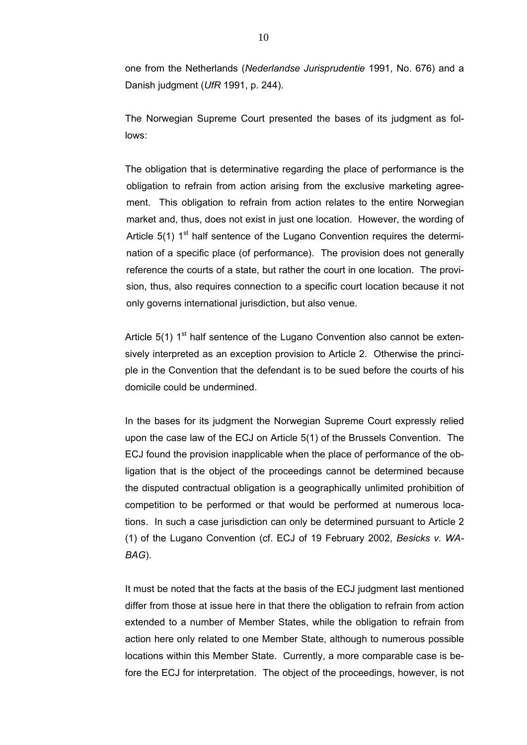one from the Netherlands (*Nederlandse Jurisprudentie* 1991, No. 676) and a Danish judgment (*UfR* 1991, p. 244).

The Norwegian Supreme Court presented the bases of its judgment as follows:

The obligation that is determinative regarding the place of performance is the obligation to refrain from action arising from the exclusive marketing agreement. This obligation to refrain from action relates to the entire Norwegian market and, thus, does not exist in just one location. However, the wording of Article  $5(1)$  1<sup>st</sup> half sentence of the Lugano Convention requires the determination of a specific place (of performance). The provision does not generally reference the courts of a state, but rather the court in one location. The provision, thus, also requires connection to a specific court location because it not only governs international jurisdiction, but also venue.

Article  $5(1)$  1<sup>st</sup> half sentence of the Lugano Convention also cannot be extensively interpreted as an exception provision to Article 2. Otherwise the principle in the Convention that the defendant is to be sued before the courts of his domicile could be undermined.

In the bases for its judgment the Norwegian Supreme Court expressly relied upon the case law of the ECJ on Article 5(1) of the Brussels Convention. The ECJ found the provision inapplicable when the place of performance of the obligation that is the object of the proceedings cannot be determined because the disputed contractual obligation is a geographically unlimited prohibition of competition to be performed or that would be performed at numerous locations. In such a case jurisdiction can only be determined pursuant to Article 2 (1) of the Lugano Convention (cf. ECJ of 19 February 2002, *Besicks v. WA-BAG*).

It must be noted that the facts at the basis of the ECJ judgment last mentioned differ from those at issue here in that there the obligation to refrain from action extended to a number of Member States, while the obligation to refrain from action here only related to one Member State, although to numerous possible locations within this Member State. Currently, a more comparable case is before the ECJ for interpretation. The object of the proceedings, however, is not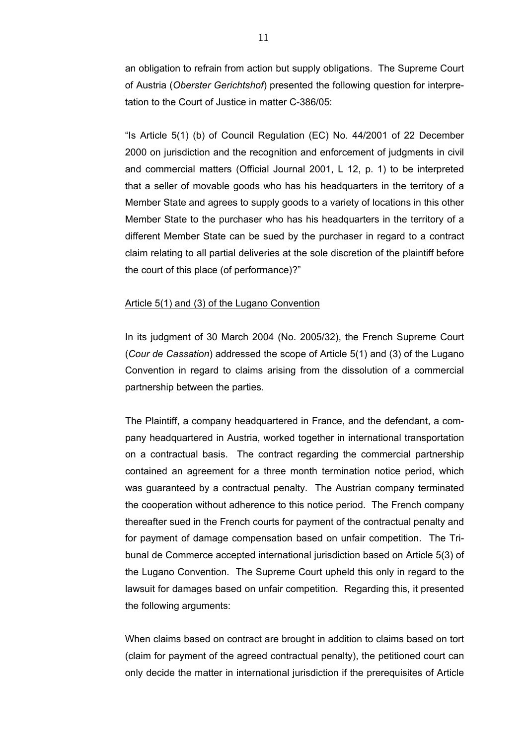an obligation to refrain from action but supply obligations. The Supreme Court of Austria (*Oberster Gerichtshof*) presented the following question for interpretation to the Court of Justice in matter C-386/05:

"Is Article 5(1) (b) of Council Regulation (EC) No. 44/2001 of 22 December 2000 on jurisdiction and the recognition and enforcement of judgments in civil and commercial matters (Official Journal 2001, L 12, p. 1) to be interpreted that a seller of movable goods who has his headquarters in the territory of a Member State and agrees to supply goods to a variety of locations in this other Member State to the purchaser who has his headquarters in the territory of a different Member State can be sued by the purchaser in regard to a contract claim relating to all partial deliveries at the sole discretion of the plaintiff before the court of this place (of performance)?"

# Article 5(1) and (3) of the Lugano Convention

In its judgment of 30 March 2004 (No. 2005/32), the French Supreme Court (*Cour de Cassation*) addressed the scope of Article 5(1) and (3) of the Lugano Convention in regard to claims arising from the dissolution of a commercial partnership between the parties.

The Plaintiff, a company headquartered in France, and the defendant, a company headquartered in Austria, worked together in international transportation on a contractual basis. The contract regarding the commercial partnership contained an agreement for a three month termination notice period, which was guaranteed by a contractual penalty. The Austrian company terminated the cooperation without adherence to this notice period. The French company thereafter sued in the French courts for payment of the contractual penalty and for payment of damage compensation based on unfair competition. The Tribunal de Commerce accepted international jurisdiction based on Article 5(3) of the Lugano Convention. The Supreme Court upheld this only in regard to the lawsuit for damages based on unfair competition. Regarding this, it presented the following arguments:

When claims based on contract are brought in addition to claims based on tort (claim for payment of the agreed contractual penalty), the petitioned court can only decide the matter in international jurisdiction if the prerequisites of Article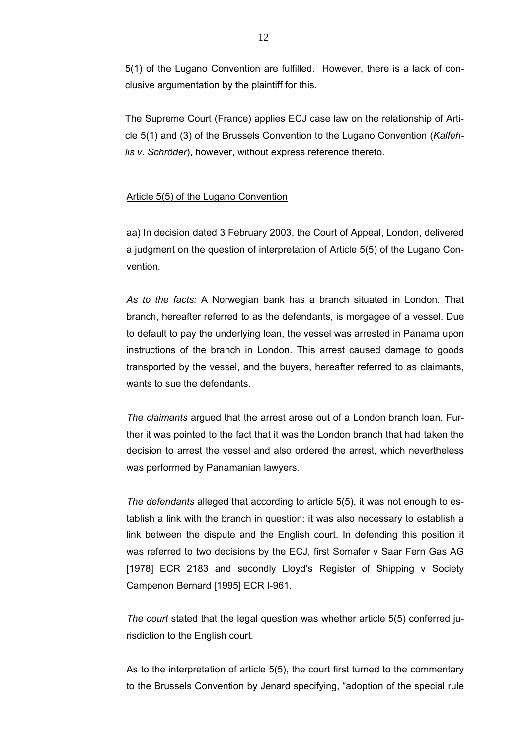5(1) of the Lugano Convention are fulfilled. However, there is a lack of conclusive argumentation by the plaintiff for this.

The Supreme Court (France) applies ECJ case law on the relationship of Article 5(1) and (3) of the Brussels Convention to the Lugano Convention (*Kalfehlis v. Schröder*), however, without express reference thereto.

## Article 5(5) of the Lugano Convention

aa) In decision dated 3 February 2003, the Court of Appeal, London, delivered a judgment on the question of interpretation of Article 5(5) of the Lugano Convention.

*As to the facts:* A Norwegian bank has a branch situated in London. That branch, hereafter referred to as the defendants, is morgagee of a vessel. Due to default to pay the underlying loan, the vessel was arrested in Panama upon instructions of the branch in London. This arrest caused damage to goods transported by the vessel, and the buyers, hereafter referred to as claimants, wants to sue the defendants.

*The claimants* argued that the arrest arose out of a London branch loan. Further it was pointed to the fact that it was the London branch that had taken the decision to arrest the vessel and also ordered the arrest, which nevertheless was performed by Panamanian lawyers.

*The defendants* alleged that according to article 5(5), it was not enough to establish a link with the branch in question; it was also necessary to establish a link between the dispute and the English court. In defending this position it was referred to two decisions by the ECJ, first Somafer v Saar Fern Gas AG [1978] ECR 2183 and secondly Lloyd's Register of Shipping v Society Campenon Bernard [1995] ECR I-961.

*The court* stated that the legal question was whether article 5(5) conferred jurisdiction to the English court.

As to the interpretation of article 5(5), the court first turned to the commentary to the Brussels Convention by Jenard specifying, "adoption of the special rule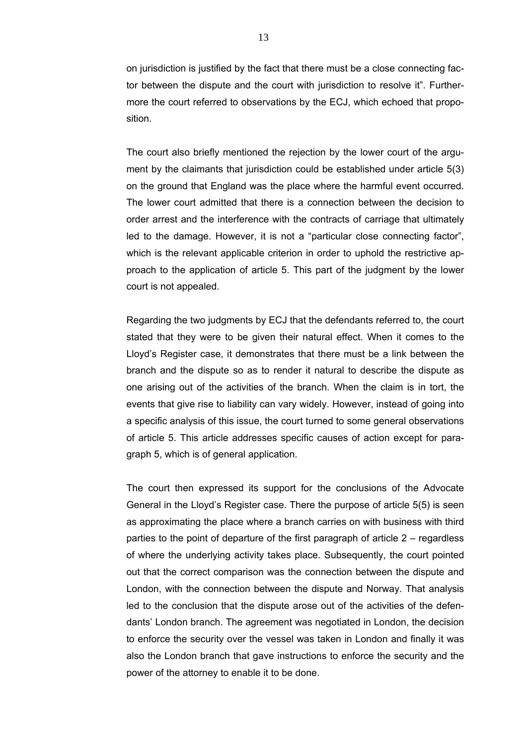on jurisdiction is justified by the fact that there must be a close connecting factor between the dispute and the court with jurisdiction to resolve it". Furthermore the court referred to observations by the ECJ, which echoed that proposition.

The court also briefly mentioned the rejection by the lower court of the argument by the claimants that jurisdiction could be established under article 5(3) on the ground that England was the place where the harmful event occurred. The lower court admitted that there is a connection between the decision to order arrest and the interference with the contracts of carriage that ultimately led to the damage. However, it is not a "particular close connecting factor", which is the relevant applicable criterion in order to uphold the restrictive approach to the application of article 5. This part of the judgment by the lower court is not appealed.

Regarding the two judgments by ECJ that the defendants referred to, the court stated that they were to be given their natural effect. When it comes to the Lloyd's Register case, it demonstrates that there must be a link between the branch and the dispute so as to render it natural to describe the dispute as one arising out of the activities of the branch. When the claim is in tort, the events that give rise to liability can vary widely. However, instead of going into a specific analysis of this issue, the court turned to some general observations of article 5. This article addresses specific causes of action except for paragraph 5, which is of general application.

The court then expressed its support for the conclusions of the Advocate General in the Lloyd's Register case. There the purpose of article 5(5) is seen as approximating the place where a branch carries on with business with third parties to the point of departure of the first paragraph of article  $2 -$  regardless of where the underlying activity takes place. Subsequently, the court pointed out that the correct comparison was the connection between the dispute and London, with the connection between the dispute and Norway. That analysis led to the conclusion that the dispute arose out of the activities of the defendants' London branch. The agreement was negotiated in London, the decision to enforce the security over the vessel was taken in London and finally it was also the London branch that gave instructions to enforce the security and the power of the attorney to enable it to be done.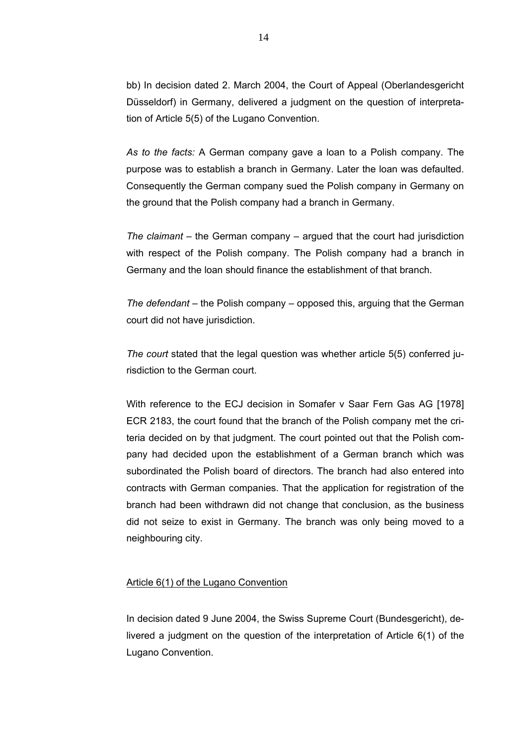bb) In decision dated 2. March 2004, the Court of Appeal (Oberlandesgericht Düsseldorf) in Germany, delivered a judgment on the question of interpretation of Article 5(5) of the Lugano Convention.

*As to the facts:* A German company gave a loan to a Polish company. The purpose was to establish a branch in Germany. Later the loan was defaulted. Consequently the German company sued the Polish company in Germany on the ground that the Polish company had a branch in Germany.

*The claimant* – the German company – argued that the court had jurisdiction with respect of the Polish company. The Polish company had a branch in Germany and the loan should finance the establishment of that branch.

*The defendant* – the Polish company – opposed this, arguing that the German court did not have jurisdiction.

*The court* stated that the legal question was whether article 5(5) conferred jurisdiction to the German court.

With reference to the ECJ decision in Somafer v Saar Fern Gas AG [1978] ECR 2183, the court found that the branch of the Polish company met the criteria decided on by that judgment. The court pointed out that the Polish company had decided upon the establishment of a German branch which was subordinated the Polish board of directors. The branch had also entered into contracts with German companies. That the application for registration of the branch had been withdrawn did not change that conclusion, as the business did not seize to exist in Germany. The branch was only being moved to a neighbouring city.

#### Article 6(1) of the Lugano Convention

In decision dated 9 June 2004, the Swiss Supreme Court (Bundesgericht), delivered a judgment on the question of the interpretation of Article 6(1) of the Lugano Convention.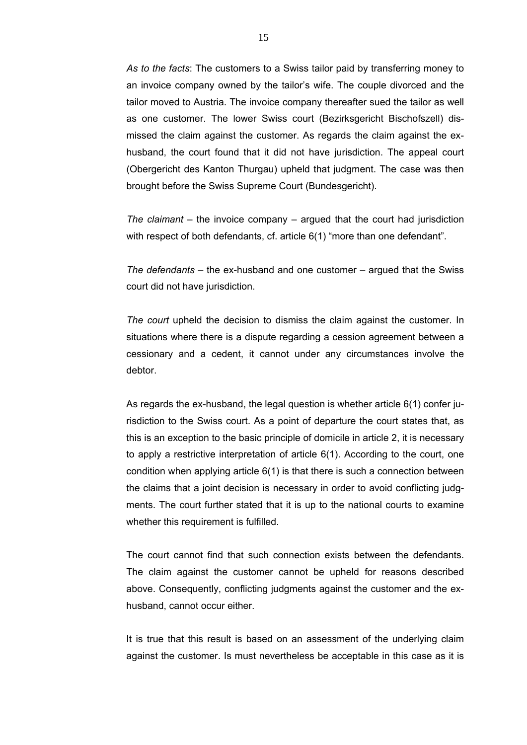*As to the facts*: The customers to a Swiss tailor paid by transferring money to an invoice company owned by the tailor's wife. The couple divorced and the tailor moved to Austria. The invoice company thereafter sued the tailor as well as one customer. The lower Swiss court (Bezirksgericht Bischofszell) dismissed the claim against the customer. As regards the claim against the exhusband, the court found that it did not have jurisdiction. The appeal court (Obergericht des Kanton Thurgau) upheld that judgment. The case was then brought before the Swiss Supreme Court (Bundesgericht).

*The claimant* – the invoice company – argued that the court had jurisdiction with respect of both defendants, cf. article 6(1) "more than one defendant".

*The defendants* – the ex-husband and one customer – argued that the Swiss court did not have jurisdiction.

*The court* upheld the decision to dismiss the claim against the customer. In situations where there is a dispute regarding a cession agreement between a cessionary and a cedent, it cannot under any circumstances involve the debtor.

As regards the ex-husband, the legal question is whether article 6(1) confer jurisdiction to the Swiss court. As a point of departure the court states that, as this is an exception to the basic principle of domicile in article 2, it is necessary to apply a restrictive interpretation of article 6(1). According to the court, one condition when applying article 6(1) is that there is such a connection between the claims that a joint decision is necessary in order to avoid conflicting judgments. The court further stated that it is up to the national courts to examine whether this requirement is fulfilled.

The court cannot find that such connection exists between the defendants. The claim against the customer cannot be upheld for reasons described above. Consequently, conflicting judgments against the customer and the exhusband, cannot occur either.

It is true that this result is based on an assessment of the underlying claim against the customer. Is must nevertheless be acceptable in this case as it is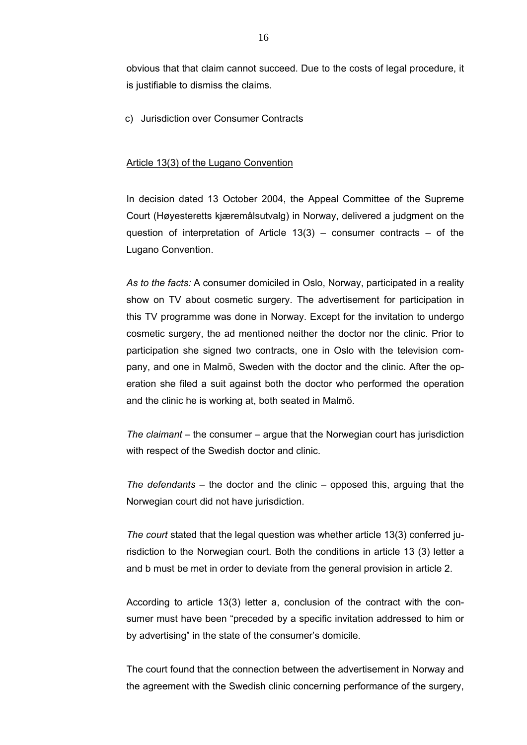obvious that that claim cannot succeed. Due to the costs of legal procedure, it is justifiable to dismiss the claims.

c) Jurisdiction over Consumer Contracts

#### Article 13(3) of the Lugano Convention

In decision dated 13 October 2004, the Appeal Committee of the Supreme Court (Høyesteretts kjæremålsutvalg) in Norway, delivered a judgment on the question of interpretation of Article  $13(3)$  – consumer contracts – of the Lugano Convention.

*As to the facts:* A consumer domiciled in Oslo, Norway, participated in a reality show on TV about cosmetic surgery. The advertisement for participation in this TV programme was done in Norway. Except for the invitation to undergo cosmetic surgery, the ad mentioned neither the doctor nor the clinic. Prior to participation she signed two contracts, one in Oslo with the television company, and one in Malmö, Sweden with the doctor and the clinic. After the operation she filed a suit against both the doctor who performed the operation and the clinic he is working at, both seated in Malmö.

*The claimant* – the consumer – argue that the Norwegian court has jurisdiction with respect of the Swedish doctor and clinic.

*The defendants* – the doctor and the clinic – opposed this, arguing that the Norwegian court did not have jurisdiction.

*The court* stated that the legal question was whether article 13(3) conferred jurisdiction to the Norwegian court. Both the conditions in article 13 (3) letter a and b must be met in order to deviate from the general provision in article 2.

According to article 13(3) letter a, conclusion of the contract with the consumer must have been "preceded by a specific invitation addressed to him or by advertising" in the state of the consumer's domicile.

The court found that the connection between the advertisement in Norway and the agreement with the Swedish clinic concerning performance of the surgery,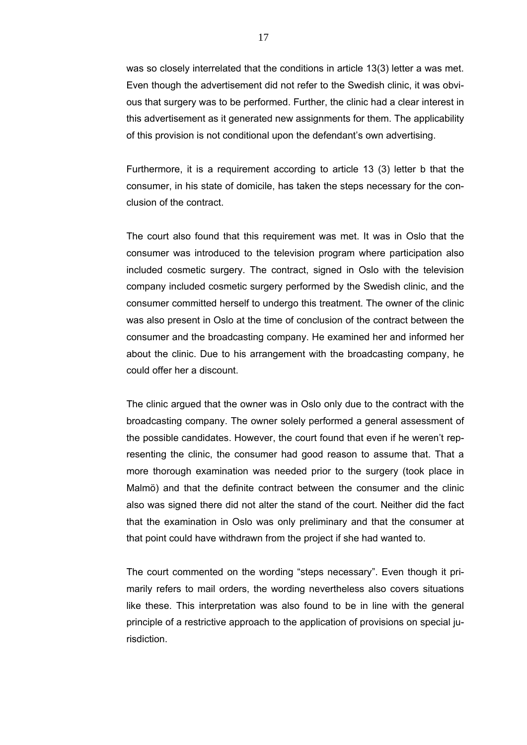was so closely interrelated that the conditions in article 13(3) letter a was met. Even though the advertisement did not refer to the Swedish clinic, it was obvious that surgery was to be performed. Further, the clinic had a clear interest in this advertisement as it generated new assignments for them. The applicability of this provision is not conditional upon the defendant's own advertising.

Furthermore, it is a requirement according to article 13 (3) letter b that the consumer, in his state of domicile, has taken the steps necessary for the conclusion of the contract.

The court also found that this requirement was met. It was in Oslo that the consumer was introduced to the television program where participation also included cosmetic surgery. The contract, signed in Oslo with the television company included cosmetic surgery performed by the Swedish clinic, and the consumer committed herself to undergo this treatment. The owner of the clinic was also present in Oslo at the time of conclusion of the contract between the consumer and the broadcasting company. He examined her and informed her about the clinic. Due to his arrangement with the broadcasting company, he could offer her a discount.

The clinic argued that the owner was in Oslo only due to the contract with the broadcasting company. The owner solely performed a general assessment of the possible candidates. However, the court found that even if he weren't representing the clinic, the consumer had good reason to assume that. That a more thorough examination was needed prior to the surgery (took place in Malmö) and that the definite contract between the consumer and the clinic also was signed there did not alter the stand of the court. Neither did the fact that the examination in Oslo was only preliminary and that the consumer at that point could have withdrawn from the project if she had wanted to.

The court commented on the wording "steps necessary". Even though it primarily refers to mail orders, the wording nevertheless also covers situations like these. This interpretation was also found to be in line with the general principle of a restrictive approach to the application of provisions on special jurisdiction.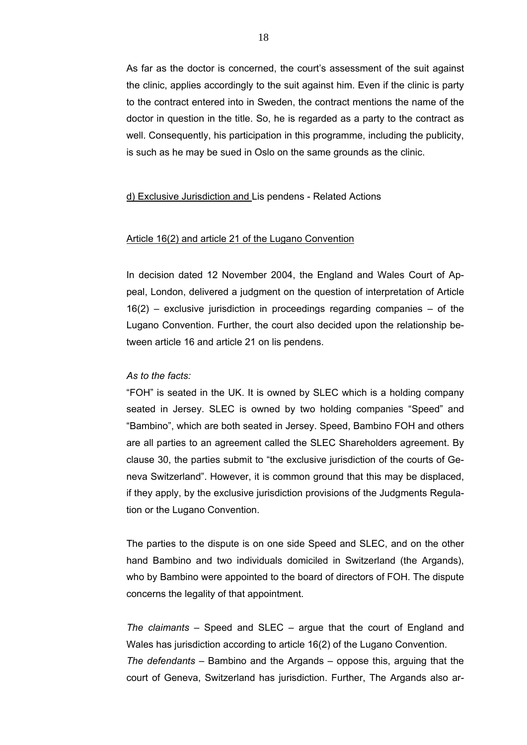As far as the doctor is concerned, the court's assessment of the suit against the clinic, applies accordingly to the suit against him. Even if the clinic is party to the contract entered into in Sweden, the contract mentions the name of the doctor in question in the title. So, he is regarded as a party to the contract as well. Consequently, his participation in this programme, including the publicity, is such as he may be sued in Oslo on the same grounds as the clinic.

#### d) Exclusive Jurisdiction and Lis pendens - Related Actions

#### Article 16(2) and article 21 of the Lugano Convention

In decision dated 12 November 2004, the England and Wales Court of Appeal, London, delivered a judgment on the question of interpretation of Article  $16(2)$  – exclusive jurisdiction in proceedings regarding companies – of the Lugano Convention. Further, the court also decided upon the relationship between article 16 and article 21 on lis pendens.

#### *As to the facts:*

"FOH" is seated in the UK. It is owned by SLEC which is a holding company seated in Jersey. SLEC is owned by two holding companies "Speed" and "Bambino", which are both seated in Jersey. Speed, Bambino FOH and others are all parties to an agreement called the SLEC Shareholders agreement. By clause 30, the parties submit to "the exclusive jurisdiction of the courts of Geneva Switzerland". However, it is common ground that this may be displaced, if they apply, by the exclusive jurisdiction provisions of the Judgments Regulation or the Lugano Convention.

The parties to the dispute is on one side Speed and SLEC, and on the other hand Bambino and two individuals domiciled in Switzerland (the Argands), who by Bambino were appointed to the board of directors of FOH. The dispute concerns the legality of that appointment.

*The claimants* – Speed and SLEC – argue that the court of England and Wales has jurisdiction according to article 16(2) of the Lugano Convention. *The defendants* – Bambino and the Argands – oppose this, arguing that the court of Geneva, Switzerland has jurisdiction. Further, The Argands also ar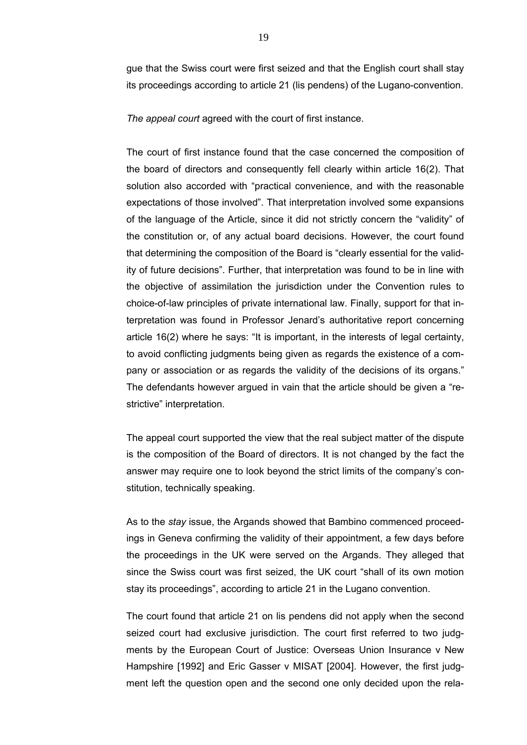gue that the Swiss court were first seized and that the English court shall stay its proceedings according to article 21 (lis pendens) of the Lugano-convention.

*The appeal court* agreed with the court of first instance.

The court of first instance found that the case concerned the composition of the board of directors and consequently fell clearly within article 16(2). That solution also accorded with "practical convenience, and with the reasonable expectations of those involved". That interpretation involved some expansions of the language of the Article, since it did not strictly concern the "validity" of the constitution or, of any actual board decisions. However, the court found that determining the composition of the Board is "clearly essential for the validity of future decisions". Further, that interpretation was found to be in line with the objective of assimilation the jurisdiction under the Convention rules to choice-of-law principles of private international law. Finally, support for that interpretation was found in Professor Jenard's authoritative report concerning article 16(2) where he says: "It is important, in the interests of legal certainty, to avoid conflicting judgments being given as regards the existence of a company or association or as regards the validity of the decisions of its organs." The defendants however argued in vain that the article should be given a "restrictive" interpretation.

The appeal court supported the view that the real subject matter of the dispute is the composition of the Board of directors. It is not changed by the fact the answer may require one to look beyond the strict limits of the company's constitution, technically speaking.

As to the *stay* issue, the Argands showed that Bambino commenced proceedings in Geneva confirming the validity of their appointment, a few days before the proceedings in the UK were served on the Argands. They alleged that since the Swiss court was first seized, the UK court "shall of its own motion stay its proceedings", according to article 21 in the Lugano convention.

The court found that article 21 on lis pendens did not apply when the second seized court had exclusive jurisdiction. The court first referred to two judgments by the European Court of Justice: Overseas Union Insurance v New Hampshire [1992] and Eric Gasser v MISAT [2004]. However, the first judgment left the question open and the second one only decided upon the rela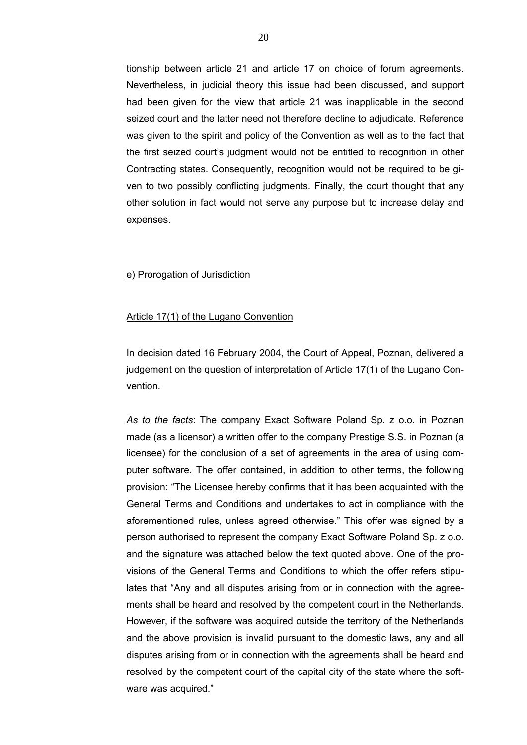tionship between article 21 and article 17 on choice of forum agreements. Nevertheless, in judicial theory this issue had been discussed, and support had been given for the view that article 21 was inapplicable in the second seized court and the latter need not therefore decline to adjudicate. Reference was given to the spirit and policy of the Convention as well as to the fact that the first seized court's judgment would not be entitled to recognition in other Contracting states. Consequently, recognition would not be required to be given to two possibly conflicting judgments. Finally, the court thought that any other solution in fact would not serve any purpose but to increase delay and expenses.

#### e) Prorogation of Jurisdiction

#### Article 17(1) of the Lugano Convention

In decision dated 16 February 2004, the Court of Appeal, Poznan, delivered a judgement on the question of interpretation of Article 17(1) of the Lugano Convention.

*As to the facts*: The company Exact Software Poland Sp. z o.o. in Poznan made (as a licensor) a written offer to the company Prestige S.S. in Poznan (a licensee) for the conclusion of a set of agreements in the area of using computer software. The offer contained, in addition to other terms, the following provision: "The Licensee hereby confirms that it has been acquainted with the General Terms and Conditions and undertakes to act in compliance with the aforementioned rules, unless agreed otherwise." This offer was signed by a person authorised to represent the company Exact Software Poland Sp. z o.o. and the signature was attached below the text quoted above. One of the provisions of the General Terms and Conditions to which the offer refers stipulates that "Any and all disputes arising from or in connection with the agreements shall be heard and resolved by the competent court in the Netherlands. However, if the software was acquired outside the territory of the Netherlands and the above provision is invalid pursuant to the domestic laws, any and all disputes arising from or in connection with the agreements shall be heard and resolved by the competent court of the capital city of the state where the software was acquired."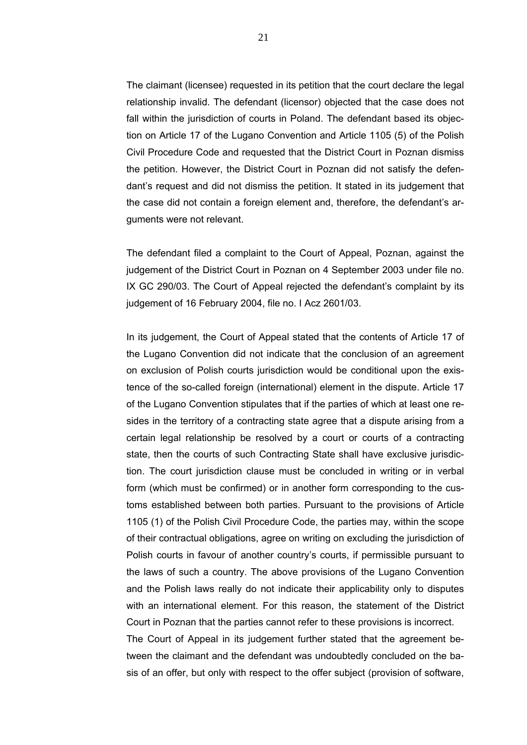The claimant (licensee) requested in its petition that the court declare the legal relationship invalid. The defendant (licensor) objected that the case does not fall within the jurisdiction of courts in Poland. The defendant based its objection on Article 17 of the Lugano Convention and Article 1105 (5) of the Polish Civil Procedure Code and requested that the District Court in Poznan dismiss the petition. However, the District Court in Poznan did not satisfy the defendant's request and did not dismiss the petition. It stated in its judgement that the case did not contain a foreign element and, therefore, the defendant's arguments were not relevant.

The defendant filed a complaint to the Court of Appeal, Poznan, against the judgement of the District Court in Poznan on 4 September 2003 under file no. IX GC 290/03. The Court of Appeal rejected the defendant's complaint by its judgement of 16 February 2004, file no. I Acz 2601/03.

In its judgement, the Court of Appeal stated that the contents of Article 17 of the Lugano Convention did not indicate that the conclusion of an agreement on exclusion of Polish courts jurisdiction would be conditional upon the existence of the so-called foreign (international) element in the dispute. Article 17 of the Lugano Convention stipulates that if the parties of which at least one resides in the territory of a contracting state agree that a dispute arising from a certain legal relationship be resolved by a court or courts of a contracting state, then the courts of such Contracting State shall have exclusive jurisdiction. The court jurisdiction clause must be concluded in writing or in verbal form (which must be confirmed) or in another form corresponding to the customs established between both parties. Pursuant to the provisions of Article 1105 (1) of the Polish Civil Procedure Code, the parties may, within the scope of their contractual obligations, agree on writing on excluding the jurisdiction of Polish courts in favour of another country's courts, if permissible pursuant to the laws of such a country. The above provisions of the Lugano Convention and the Polish laws really do not indicate their applicability only to disputes with an international element. For this reason, the statement of the District Court in Poznan that the parties cannot refer to these provisions is incorrect. The Court of Appeal in its judgement further stated that the agreement between the claimant and the defendant was undoubtedly concluded on the ba-

sis of an offer, but only with respect to the offer subject (provision of software,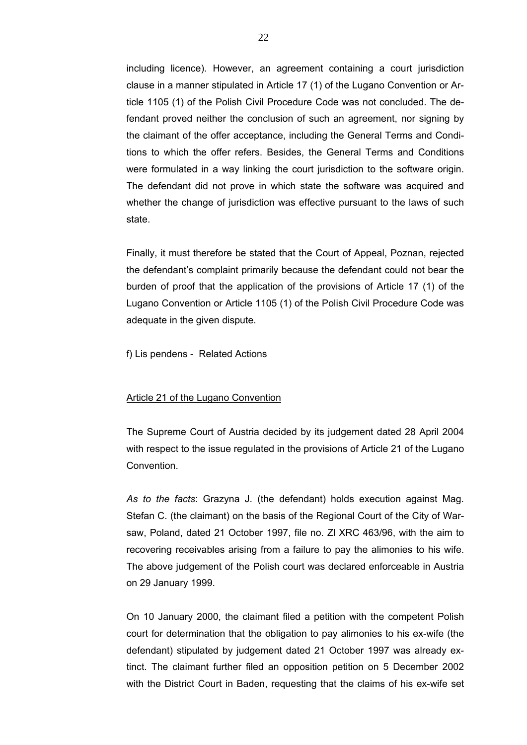including licence). However, an agreement containing a court jurisdiction clause in a manner stipulated in Article 17 (1) of the Lugano Convention or Article 1105 (1) of the Polish Civil Procedure Code was not concluded. The defendant proved neither the conclusion of such an agreement, nor signing by the claimant of the offer acceptance, including the General Terms and Conditions to which the offer refers. Besides, the General Terms and Conditions were formulated in a way linking the court jurisdiction to the software origin. The defendant did not prove in which state the software was acquired and whether the change of jurisdiction was effective pursuant to the laws of such state.

Finally, it must therefore be stated that the Court of Appeal, Poznan, rejected the defendant's complaint primarily because the defendant could not bear the burden of proof that the application of the provisions of Article 17 (1) of the Lugano Convention or Article 1105 (1) of the Polish Civil Procedure Code was adequate in the given dispute.

f) Lis pendens - Related Actions

#### Article 21 of the Lugano Convention

The Supreme Court of Austria decided by its judgement dated 28 April 2004 with respect to the issue regulated in the provisions of Article 21 of the Lugano Convention.

*As to the facts*: Grazyna J. (the defendant) holds execution against Mag. Stefan C. (the claimant) on the basis of the Regional Court of the City of Warsaw, Poland, dated 21 October 1997, file no. Zl XRC 463/96, with the aim to recovering receivables arising from a failure to pay the alimonies to his wife. The above judgement of the Polish court was declared enforceable in Austria on 29 January 1999.

On 10 January 2000, the claimant filed a petition with the competent Polish court for determination that the obligation to pay alimonies to his ex-wife (the defendant) stipulated by judgement dated 21 October 1997 was already extinct. The claimant further filed an opposition petition on 5 December 2002 with the District Court in Baden, requesting that the claims of his ex-wife set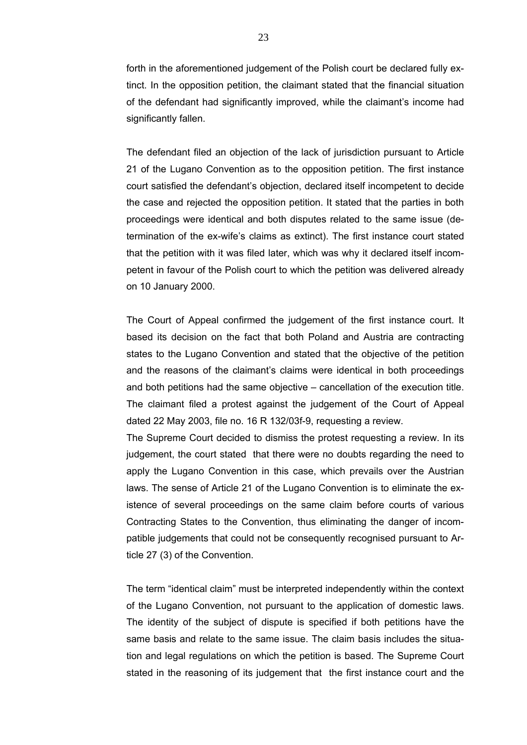forth in the aforementioned judgement of the Polish court be declared fully extinct. In the opposition petition, the claimant stated that the financial situation of the defendant had significantly improved, while the claimant's income had significantly fallen.

The defendant filed an objection of the lack of jurisdiction pursuant to Article 21 of the Lugano Convention as to the opposition petition. The first instance court satisfied the defendant's objection, declared itself incompetent to decide the case and rejected the opposition petition. It stated that the parties in both proceedings were identical and both disputes related to the same issue (determination of the ex-wife's claims as extinct). The first instance court stated that the petition with it was filed later, which was why it declared itself incompetent in favour of the Polish court to which the petition was delivered already on 10 January 2000.

The Court of Appeal confirmed the judgement of the first instance court. It based its decision on the fact that both Poland and Austria are contracting states to the Lugano Convention and stated that the objective of the petition and the reasons of the claimant's claims were identical in both proceedings and both petitions had the same objective – cancellation of the execution title. The claimant filed a protest against the judgement of the Court of Appeal dated 22 May 2003, file no. 16 R 132/03f-9, requesting a review.

The Supreme Court decided to dismiss the protest requesting a review. In its judgement, the court stated that there were no doubts regarding the need to apply the Lugano Convention in this case, which prevails over the Austrian laws. The sense of Article 21 of the Lugano Convention is to eliminate the existence of several proceedings on the same claim before courts of various Contracting States to the Convention, thus eliminating the danger of incompatible judgements that could not be consequently recognised pursuant to Article 27 (3) of the Convention.

The term "identical claim" must be interpreted independently within the context of the Lugano Convention, not pursuant to the application of domestic laws. The identity of the subject of dispute is specified if both petitions have the same basis and relate to the same issue. The claim basis includes the situation and legal regulations on which the petition is based. The Supreme Court stated in the reasoning of its judgement that the first instance court and the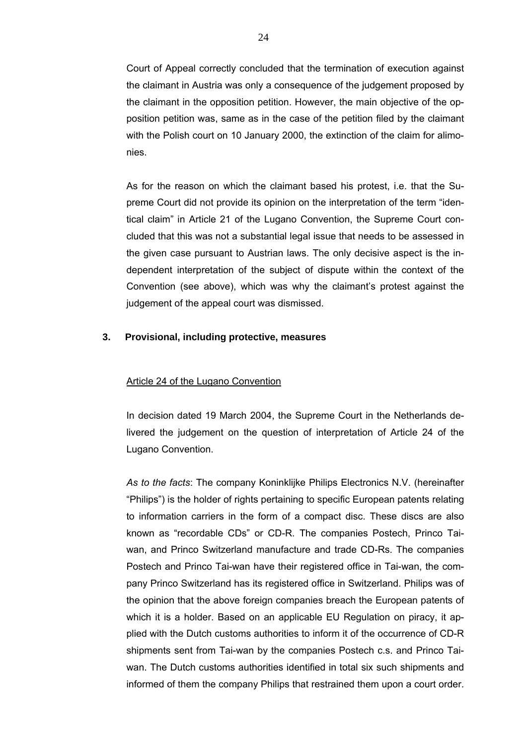Court of Appeal correctly concluded that the termination of execution against the claimant in Austria was only a consequence of the judgement proposed by the claimant in the opposition petition. However, the main objective of the opposition petition was, same as in the case of the petition filed by the claimant with the Polish court on 10 January 2000, the extinction of the claim for alimonies.

As for the reason on which the claimant based his protest, i.e. that the Supreme Court did not provide its opinion on the interpretation of the term "identical claim" in Article 21 of the Lugano Convention, the Supreme Court concluded that this was not a substantial legal issue that needs to be assessed in the given case pursuant to Austrian laws. The only decisive aspect is the independent interpretation of the subject of dispute within the context of the Convention (see above), which was why the claimant's protest against the judgement of the appeal court was dismissed.

## **3. Provisional, including protective, measures**

#### Article 24 of the Lugano Convention

In decision dated 19 March 2004, the Supreme Court in the Netherlands delivered the judgement on the question of interpretation of Article 24 of the Lugano Convention.

*As to the facts*: The company Koninklijke Philips Electronics N.V. (hereinafter "Philips") is the holder of rights pertaining to specific European patents relating to information carriers in the form of a compact disc. These discs are also known as "recordable CDs" or CD-R. The companies Postech, Princo Taiwan, and Princo Switzerland manufacture and trade CD-Rs. The companies Postech and Princo Tai-wan have their registered office in Tai-wan, the company Princo Switzerland has its registered office in Switzerland. Philips was of the opinion that the above foreign companies breach the European patents of which it is a holder. Based on an applicable EU Regulation on piracy, it applied with the Dutch customs authorities to inform it of the occurrence of CD-R shipments sent from Tai-wan by the companies Postech c.s. and Princo Taiwan. The Dutch customs authorities identified in total six such shipments and informed of them the company Philips that restrained them upon a court order.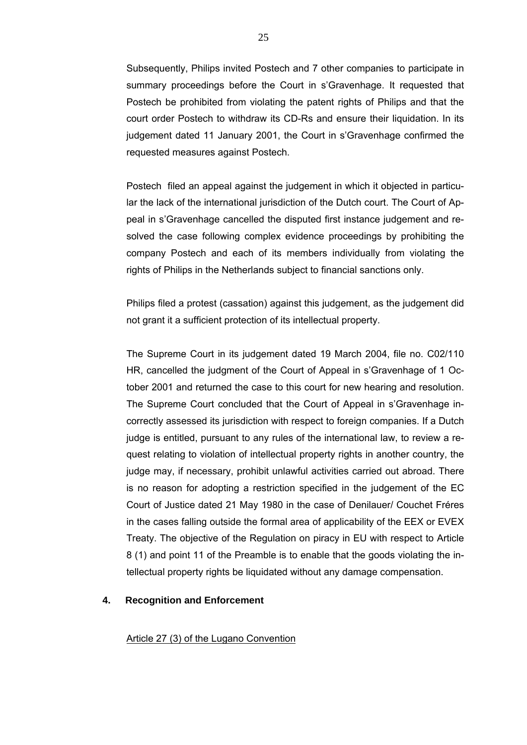Subsequently, Philips invited Postech and 7 other companies to participate in summary proceedings before the Court in s'Gravenhage. It requested that Postech be prohibited from violating the patent rights of Philips and that the court order Postech to withdraw its CD-Rs and ensure their liquidation. In its judgement dated 11 January 2001, the Court in s'Gravenhage confirmed the requested measures against Postech.

Postech filed an appeal against the judgement in which it objected in particular the lack of the international jurisdiction of the Dutch court. The Court of Appeal in s'Gravenhage cancelled the disputed first instance judgement and resolved the case following complex evidence proceedings by prohibiting the company Postech and each of its members individually from violating the rights of Philips in the Netherlands subject to financial sanctions only.

Philips filed a protest (cassation) against this judgement, as the judgement did not grant it a sufficient protection of its intellectual property.

The Supreme Court in its judgement dated 19 March 2004, file no. C02/110 HR, cancelled the judgment of the Court of Appeal in s'Gravenhage of 1 October 2001 and returned the case to this court for new hearing and resolution. The Supreme Court concluded that the Court of Appeal in s'Gravenhage incorrectly assessed its jurisdiction with respect to foreign companies. If a Dutch judge is entitled, pursuant to any rules of the international law, to review a request relating to violation of intellectual property rights in another country, the judge may, if necessary, prohibit unlawful activities carried out abroad. There is no reason for adopting a restriction specified in the judgement of the EC Court of Justice dated 21 May 1980 in the case of Denilauer/ Couchet Fréres in the cases falling outside the formal area of applicability of the EEX or EVEX Treaty. The objective of the Regulation on piracy in EU with respect to Article 8 (1) and point 11 of the Preamble is to enable that the goods violating the intellectual property rights be liquidated without any damage compensation.

# **4. Recognition and Enforcement**

Article 27 (3) of the Lugano Convention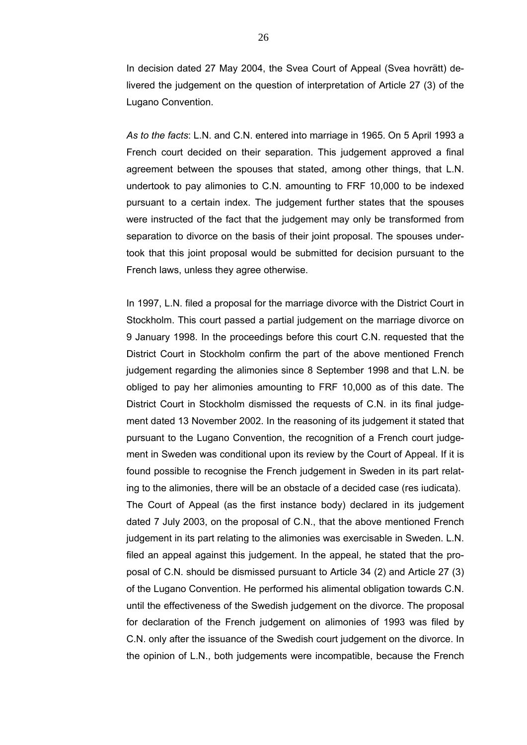In decision dated 27 May 2004, the Svea Court of Appeal (Svea hovrätt) delivered the judgement on the question of interpretation of Article 27 (3) of the Lugano Convention.

*As to the facts*: L.N. and C.N. entered into marriage in 1965. On 5 April 1993 a French court decided on their separation. This judgement approved a final agreement between the spouses that stated, among other things, that L.N. undertook to pay alimonies to C.N. amounting to FRF 10,000 to be indexed pursuant to a certain index. The judgement further states that the spouses were instructed of the fact that the judgement may only be transformed from separation to divorce on the basis of their joint proposal. The spouses undertook that this joint proposal would be submitted for decision pursuant to the French laws, unless they agree otherwise.

In 1997, L.N. filed a proposal for the marriage divorce with the District Court in Stockholm. This court passed a partial judgement on the marriage divorce on 9 January 1998. In the proceedings before this court C.N. requested that the District Court in Stockholm confirm the part of the above mentioned French judgement regarding the alimonies since 8 September 1998 and that L.N. be obliged to pay her alimonies amounting to FRF 10,000 as of this date. The District Court in Stockholm dismissed the requests of C.N. in its final judgement dated 13 November 2002. In the reasoning of its judgement it stated that pursuant to the Lugano Convention, the recognition of a French court judgement in Sweden was conditional upon its review by the Court of Appeal. If it is found possible to recognise the French judgement in Sweden in its part relating to the alimonies, there will be an obstacle of a decided case (res iudicata). The Court of Appeal (as the first instance body) declared in its judgement dated 7 July 2003, on the proposal of C.N., that the above mentioned French judgement in its part relating to the alimonies was exercisable in Sweden. L.N. filed an appeal against this judgement. In the appeal, he stated that the proposal of C.N. should be dismissed pursuant to Article 34 (2) and Article 27 (3) of the Lugano Convention. He performed his alimental obligation towards C.N. until the effectiveness of the Swedish judgement on the divorce. The proposal for declaration of the French judgement on alimonies of 1993 was filed by C.N. only after the issuance of the Swedish court judgement on the divorce. In the opinion of L.N., both judgements were incompatible, because the French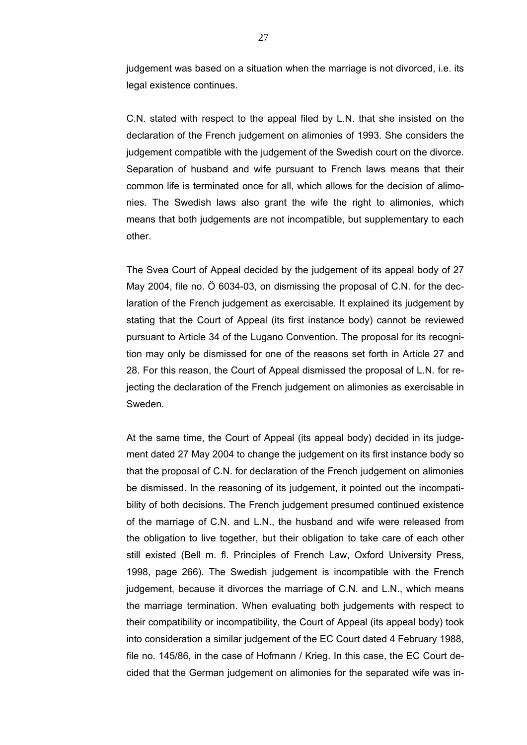judgement was based on a situation when the marriage is not divorced, i.e. its legal existence continues.

C.N. stated with respect to the appeal filed by L.N. that she insisted on the declaration of the French judgement on alimonies of 1993. She considers the judgement compatible with the judgement of the Swedish court on the divorce. Separation of husband and wife pursuant to French laws means that their common life is terminated once for all, which allows for the decision of alimonies. The Swedish laws also grant the wife the right to alimonies, which means that both judgements are not incompatible, but supplementary to each other.

The Svea Court of Appeal decided by the judgement of its appeal body of 27 May 2004, file no. Ö 6034-03, on dismissing the proposal of C.N. for the declaration of the French judgement as exercisable. It explained its judgement by stating that the Court of Appeal (its first instance body) cannot be reviewed pursuant to Article 34 of the Lugano Convention. The proposal for its recognition may only be dismissed for one of the reasons set forth in Article 27 and 28. For this reason, the Court of Appeal dismissed the proposal of L.N. for rejecting the declaration of the French judgement on alimonies as exercisable in Sweden.

At the same time, the Court of Appeal (its appeal body) decided in its judgement dated 27 May 2004 to change the judgement on its first instance body so that the proposal of C.N. for declaration of the French judgement on alimonies be dismissed. In the reasoning of its judgement, it pointed out the incompatibility of both decisions. The French judgement presumed continued existence of the marriage of C.N. and L.N., the husband and wife were released from the obligation to live together, but their obligation to take care of each other still existed (Bell m. fl. Principles of French Law, Oxford University Press, 1998, page 266). The Swedish judgement is incompatible with the French judgement, because it divorces the marriage of C.N. and L.N., which means the marriage termination. When evaluating both judgements with respect to their compatibility or incompatibility, the Court of Appeal (its appeal body) took into consideration a similar judgement of the EC Court dated 4 February 1988, file no. 145/86, in the case of Hofmann / Krieg. In this case, the EC Court decided that the German judgement on alimonies for the separated wife was in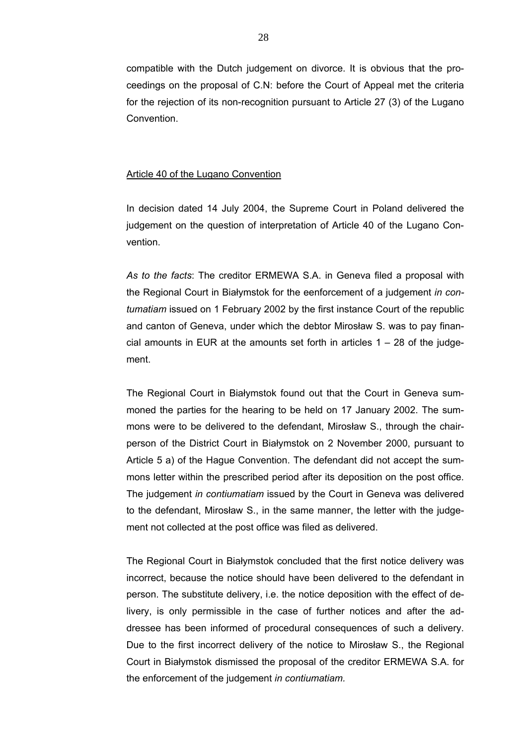compatible with the Dutch judgement on divorce. It is obvious that the proceedings on the proposal of C.N: before the Court of Appeal met the criteria for the rejection of its non-recognition pursuant to Article 27 (3) of the Lugano Convention.

#### Article 40 of the Lugano Convention

In decision dated 14 July 2004, the Supreme Court in Poland delivered the judgement on the question of interpretation of Article 40 of the Lugano Convention.

*As to the facts*: The creditor ERMEWA S.A. in Geneva filed a proposal with the Regional Court in Białymstok for the eenforcement of a judgement *in contumatiam* issued on 1 February 2002 by the first instance Court of the republic and canton of Geneva, under which the debtor Mirosław S. was to pay financial amounts in EUR at the amounts set forth in articles  $1 - 28$  of the judgement.

The Regional Court in Białymstok found out that the Court in Geneva summoned the parties for the hearing to be held on 17 January 2002. The summons were to be delivered to the defendant, Mirosław S., through the chairperson of the District Court in Białymstok on 2 November 2000, pursuant to Article 5 a) of the Hague Convention. The defendant did not accept the summons letter within the prescribed period after its deposition on the post office. The judgement *in contiumatiam* issued by the Court in Geneva was delivered to the defendant, Mirosław S., in the same manner, the letter with the judgement not collected at the post office was filed as delivered.

The Regional Court in Białymstok concluded that the first notice delivery was incorrect, because the notice should have been delivered to the defendant in person. The substitute delivery, i.e. the notice deposition with the effect of delivery, is only permissible in the case of further notices and after the addressee has been informed of procedural consequences of such a delivery. Due to the first incorrect delivery of the notice to Mirosław S., the Regional Court in Białymstok dismissed the proposal of the creditor ERMEWA S.A. for the enforcement of the judgement *in contiumatiam.*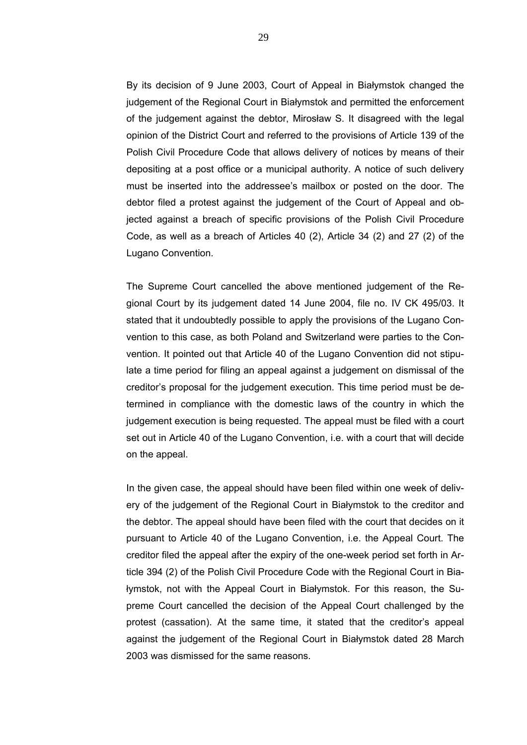By its decision of 9 June 2003, Court of Appeal in Białymstok changed the judgement of the Regional Court in Białymstok and permitted the enforcement of the judgement against the debtor, Mirosław S. It disagreed with the legal opinion of the District Court and referred to the provisions of Article 139 of the Polish Civil Procedure Code that allows delivery of notices by means of their depositing at a post office or a municipal authority. A notice of such delivery must be inserted into the addressee's mailbox or posted on the door. The debtor filed a protest against the judgement of the Court of Appeal and objected against a breach of specific provisions of the Polish Civil Procedure Code, as well as a breach of Articles 40 (2), Article 34 (2) and 27 (2) of the Lugano Convention.

The Supreme Court cancelled the above mentioned judgement of the Regional Court by its judgement dated 14 June 2004, file no. IV CK 495/03. It stated that it undoubtedly possible to apply the provisions of the Lugano Convention to this case, as both Poland and Switzerland were parties to the Convention. It pointed out that Article 40 of the Lugano Convention did not stipulate a time period for filing an appeal against a judgement on dismissal of the creditor's proposal for the judgement execution. This time period must be determined in compliance with the domestic laws of the country in which the judgement execution is being requested. The appeal must be filed with a court set out in Article 40 of the Lugano Convention, i.e. with a court that will decide on the appeal.

In the given case, the appeal should have been filed within one week of delivery of the judgement of the Regional Court in Białymstok to the creditor and the debtor. The appeal should have been filed with the court that decides on it pursuant to Article 40 of the Lugano Convention, i.e. the Appeal Court. The creditor filed the appeal after the expiry of the one-week period set forth in Article 394 (2) of the Polish Civil Procedure Code with the Regional Court in Białymstok, not with the Appeal Court in Białymstok. For this reason, the Supreme Court cancelled the decision of the Appeal Court challenged by the protest (cassation). At the same time, it stated that the creditor's appeal against the judgement of the Regional Court in Białymstok dated 28 March 2003 was dismissed for the same reasons.